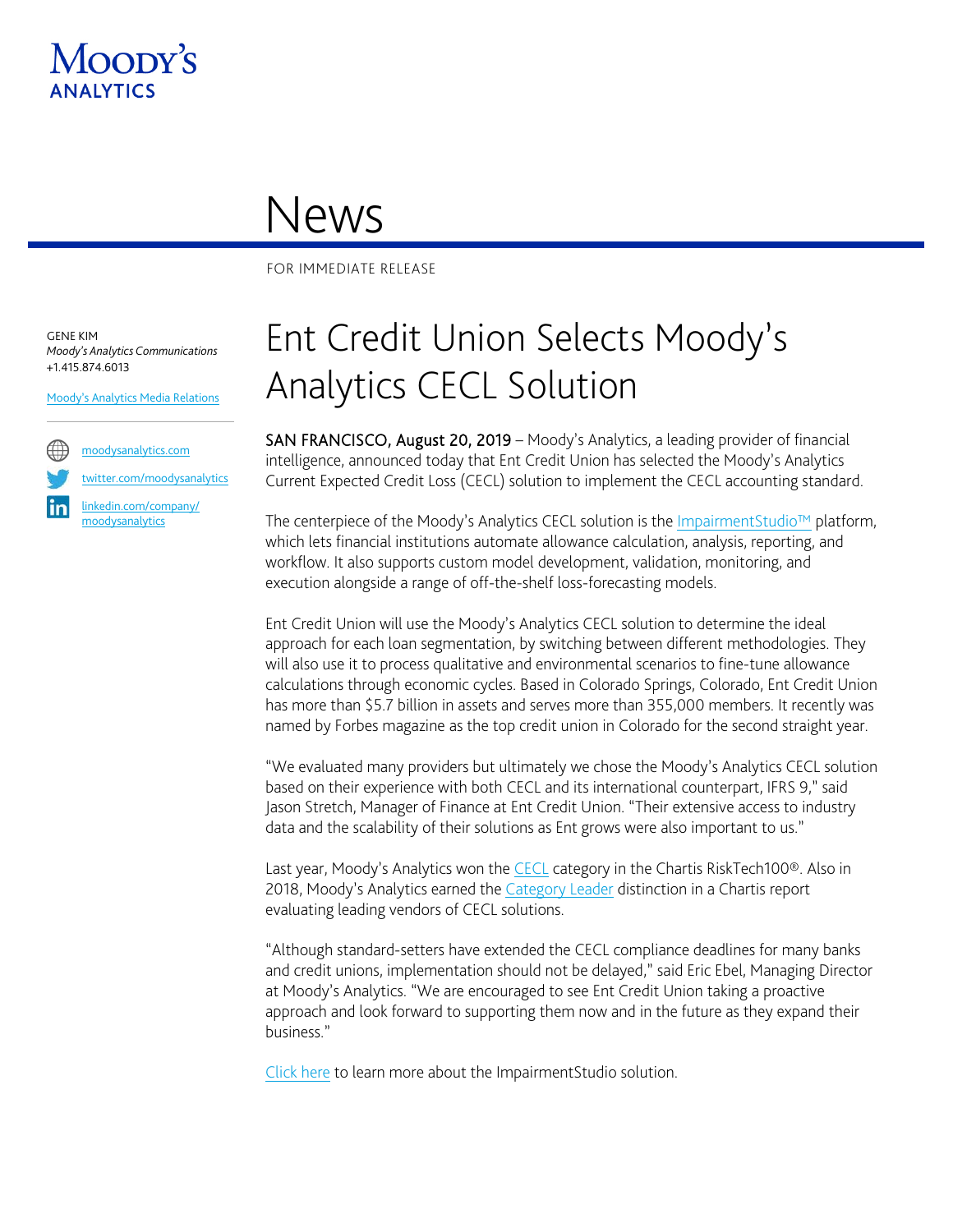

## News

FOR IMMEDIATE RELEASE

GENE KIM *Moody's Analytics Communications* +1.415.874.6013

[Moody's Analytics Media Relations](mailto:MAMediarelations@moodys.com?subject=Ent%20CU%20Selects%20Moody)



[twitter.com/moodysanalytics](https://twitter.com/MoodysAnalytics)

[linkedin.com/company/](https://www.linkedin.com/company/moodysanalytics) [moodysanalytics](https://www.linkedin.com/company/moodysanalytics)

## Ent Credit Union Selects Moody's Analytics CECL Solution

SAN FRANCISCO, August 20, 2019 – Moody's Analytics, a leading provider of financial intelligence, announced today that Ent Credit Union has selected the Moody's Analytics Current Expected Credit Loss (CECL) solution to implement the CECL accounting standard.

The centerpiece of the Moody's Analytics CECL solution is the ImpairmentStudio<sup>™</sup> platform, which lets financial institutions automate allowance calculation, analysis, reporting, and workflow. It also supports custom model development, validation, monitoring, and execution alongside a range of off-the-shelf loss-forecasting models.

Ent Credit Union will use the Moody's Analytics CECL solution to determine the ideal approach for each loan segmentation, by switching between different methodologies. They will also use it to process qualitative and environmental scenarios to fine-tune allowance calculations through economic cycles. Based in Colorado Springs, Colorado, Ent Credit Union has more than \$5.7 billion in assets and serves more than 355,000 members. It recently was named by Forbes magazine as the top credit union in Colorado for the second straight year.

"We evaluated many providers but ultimately we chose the Moody's Analytics CECL solution based on their experience with both CECL and its international counterpart, IFRS 9," said Jason Stretch, Manager of Finance at Ent Credit Union. "Their extensive access to industry data and the scalability of their solutions as Ent grows were also important to us."

Last year, Moody's Analytics won the [CECL](https://www.moodysanalytics.com/articles/2019/cecl-chartis-risktech100-award) category in the Chartis RiskTech100®. Also in 2018, Moody's Analytics earned the [Category Leader](https://www.moodysanalytics.com/about-us/press-releases/2018-06-08-moodys-analytics-chartis-cecl) distinction in a Chartis report evaluating leading vendors of CECL solutions.

"Although standard-setters have extended the CECL compliance deadlines for many banks and credit unions, implementation should not be delayed," said Eric Ebel, Managing Director at Moody's Analytics. "We are encouraged to see Ent Credit Union taking a proactive approach and look forward to supporting them now and in the future as they expand their business."

[Click here](https://www.moodysanalytics.com/microsites/automate-your-credit-allowance-process-cecl) to learn more about the ImpairmentStudio solution.